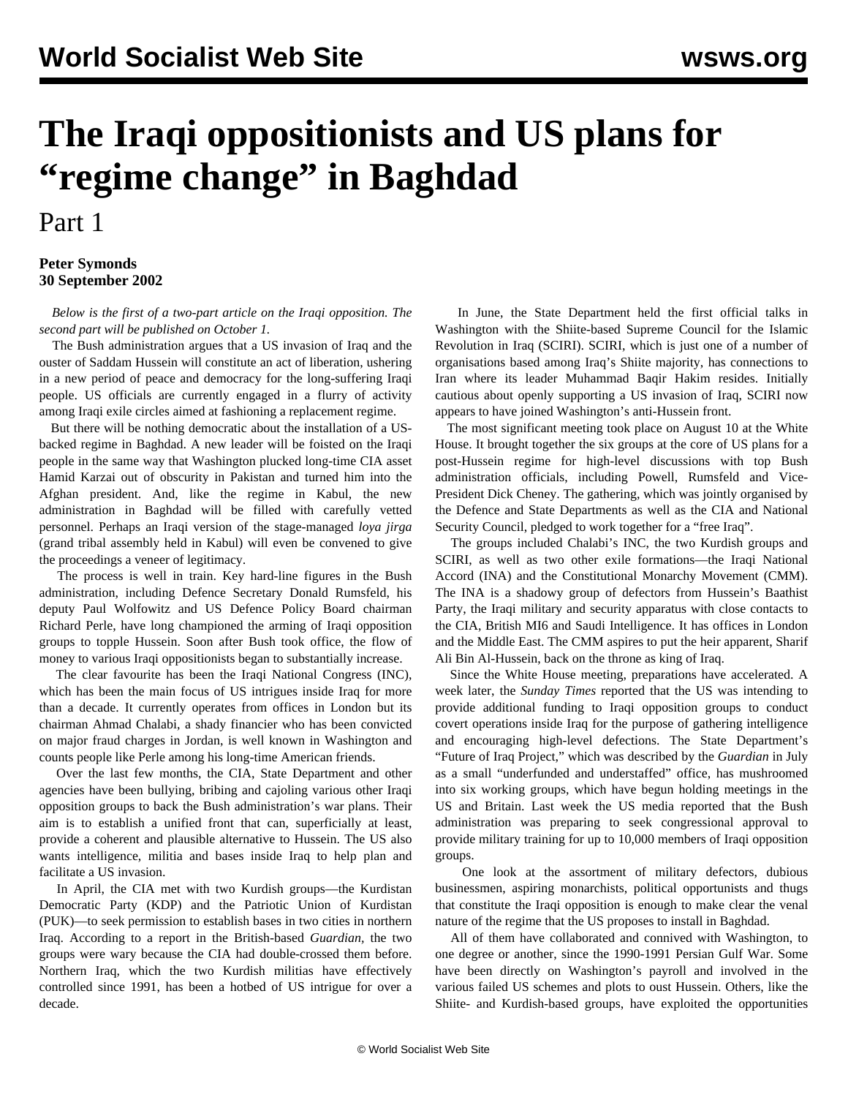## **The Iraqi oppositionists and US plans for "regime change" in Baghdad**

Part 1

## **Peter Symonds 30 September 2002**

 *Below is the first of a two-part article on the Iraqi opposition. The second part will be published on October 1.*

 The Bush administration argues that a US invasion of Iraq and the ouster of Saddam Hussein will constitute an act of liberation, ushering in a new period of peace and democracy for the long-suffering Iraqi people. US officials are currently engaged in a flurry of activity among Iraqi exile circles aimed at fashioning a replacement regime.

 But there will be nothing democratic about the installation of a USbacked regime in Baghdad. A new leader will be foisted on the Iraqi people in the same way that Washington plucked long-time CIA asset Hamid Karzai out of obscurity in Pakistan and turned him into the Afghan president. And, like the regime in Kabul, the new administration in Baghdad will be filled with carefully vetted personnel. Perhaps an Iraqi version of the stage-managed *loya jirga* (grand tribal assembly held in Kabul) will even be convened to give the proceedings a veneer of legitimacy.

 The process is well in train. Key hard-line figures in the Bush administration, including Defence Secretary Donald Rumsfeld, his deputy Paul Wolfowitz and US Defence Policy Board chairman Richard Perle, have long championed the arming of Iraqi opposition groups to topple Hussein. Soon after Bush took office, the flow of money to various Iraqi oppositionists began to substantially increase.

 The clear favourite has been the Iraqi National Congress (INC), which has been the main focus of US intrigues inside Iraq for more than a decade. It currently operates from offices in London but its chairman Ahmad Chalabi, a shady financier who has been convicted on major fraud charges in Jordan, is well known in Washington and counts people like Perle among his long-time American friends.

 Over the last few months, the CIA, State Department and other agencies have been bullying, bribing and cajoling various other Iraqi opposition groups to back the Bush administration's war plans. Their aim is to establish a unified front that can, superficially at least, provide a coherent and plausible alternative to Hussein. The US also wants intelligence, militia and bases inside Iraq to help plan and facilitate a US invasion.

 In April, the CIA met with two Kurdish groups—the Kurdistan Democratic Party (KDP) and the Patriotic Union of Kurdistan (PUK)—to seek permission to establish bases in two cities in northern Iraq. According to a report in the British-based *Guardian,* the two groups were wary because the CIA had double-crossed them before. Northern Iraq, which the two Kurdish militias have effectively controlled since 1991, has been a hotbed of US intrigue for over a decade.

 In June, the State Department held the first official talks in Washington with the Shiite-based Supreme Council for the Islamic Revolution in Iraq (SCIRI). SCIRI, which is just one of a number of organisations based among Iraq's Shiite majority, has connections to Iran where its leader Muhammad Baqir Hakim resides. Initially cautious about openly supporting a US invasion of Iraq, SCIRI now appears to have joined Washington's anti-Hussein front.

 The most significant meeting took place on August 10 at the White House. It brought together the six groups at the core of US plans for a post-Hussein regime for high-level discussions with top Bush administration officials, including Powell, Rumsfeld and Vice-President Dick Cheney. The gathering, which was jointly organised by the Defence and State Departments as well as the CIA and National Security Council, pledged to work together for a "free Iraq".

 The groups included Chalabi's INC, the two Kurdish groups and SCIRI, as well as two other exile formations—the Iraqi National Accord (INA) and the Constitutional Monarchy Movement (CMM). The INA is a shadowy group of defectors from Hussein's Baathist Party, the Iraqi military and security apparatus with close contacts to the CIA, British MI6 and Saudi Intelligence. It has offices in London and the Middle East. The CMM aspires to put the heir apparent, Sharif Ali Bin Al-Hussein, back on the throne as king of Iraq.

 Since the White House meeting, preparations have accelerated. A week later, the *Sunday Times* reported that the US was intending to provide additional funding to Iraqi opposition groups to conduct covert operations inside Iraq for the purpose of gathering intelligence and encouraging high-level defections. The State Department's "Future of Iraq Project," which was described by the *Guardian* in July as a small "underfunded and understaffed" office, has mushroomed into six working groups, which have begun holding meetings in the US and Britain. Last week the US media reported that the Bush administration was preparing to seek congressional approval to provide military training for up to 10,000 members of Iraqi opposition groups.

 One look at the assortment of military defectors, dubious businessmen, aspiring monarchists, political opportunists and thugs that constitute the Iraqi opposition is enough to make clear the venal nature of the regime that the US proposes to install in Baghdad.

 All of them have collaborated and connived with Washington, to one degree or another, since the 1990-1991 Persian Gulf War. Some have been directly on Washington's payroll and involved in the various failed US schemes and plots to oust Hussein. Others, like the Shiite- and Kurdish-based groups, have exploited the opportunities